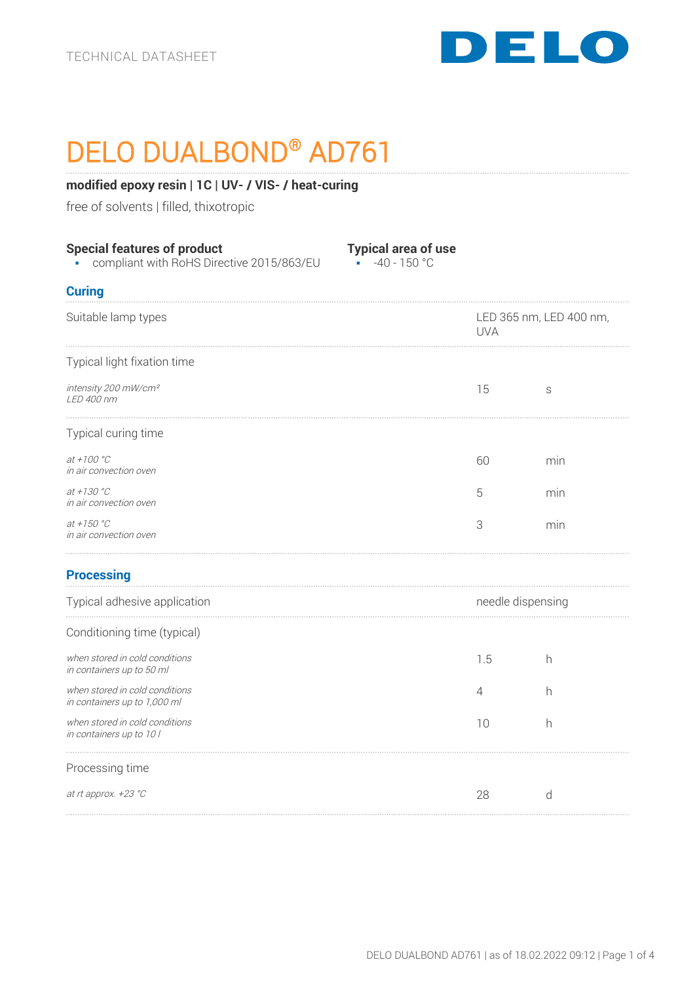

# DELO DUALBOND® AD761

## **modified epoxy resin | 1C | UV- / VIS- / heat-curing**

free of solvents | filled, thixotropic

| <b>Special features of product</b><br>compliant with RoHS Directive 2015/863/EU | <b>Typical area of use</b><br>$-40 - 150$ °C<br>á. |                                       |     |
|---------------------------------------------------------------------------------|----------------------------------------------------|---------------------------------------|-----|
| <b>Curing</b>                                                                   |                                                    |                                       |     |
| Suitable lamp types                                                             |                                                    | LED 365 nm, LED 400 nm,<br><b>UVA</b> |     |
| Typical light fixation time                                                     |                                                    |                                       |     |
| intensity 200 mW/cm <sup>2</sup><br>LED 400 nm                                  |                                                    | 15                                    | S   |
| Typical curing time                                                             |                                                    |                                       |     |
| $at + 100 °C$<br>in air convection oven                                         |                                                    | 60                                    | min |
| at +130 $^{\circ}$ C<br>in air convection oven                                  |                                                    | 5                                     | min |
| at $+150 °C$<br>in air convection oven                                          |                                                    | 3                                     | min |
| <b>Processing</b>                                                               |                                                    |                                       |     |
| Typical adhesive application                                                    |                                                    | needle dispensing                     |     |
| Conditioning time (typical)                                                     |                                                    |                                       |     |
| when stored in cold conditions<br>in containers up to 50 ml                     |                                                    | 1.5                                   | h   |
| when stored in cold conditions<br>in containers up to 1,000 ml                  |                                                    | 4                                     | h   |
| when stored in cold conditions<br>in containers up to 10 l                      |                                                    | 10                                    | h   |
| Processing time                                                                 |                                                    |                                       |     |
| at rt approx. +23 °C                                                            |                                                    | 28                                    | d   |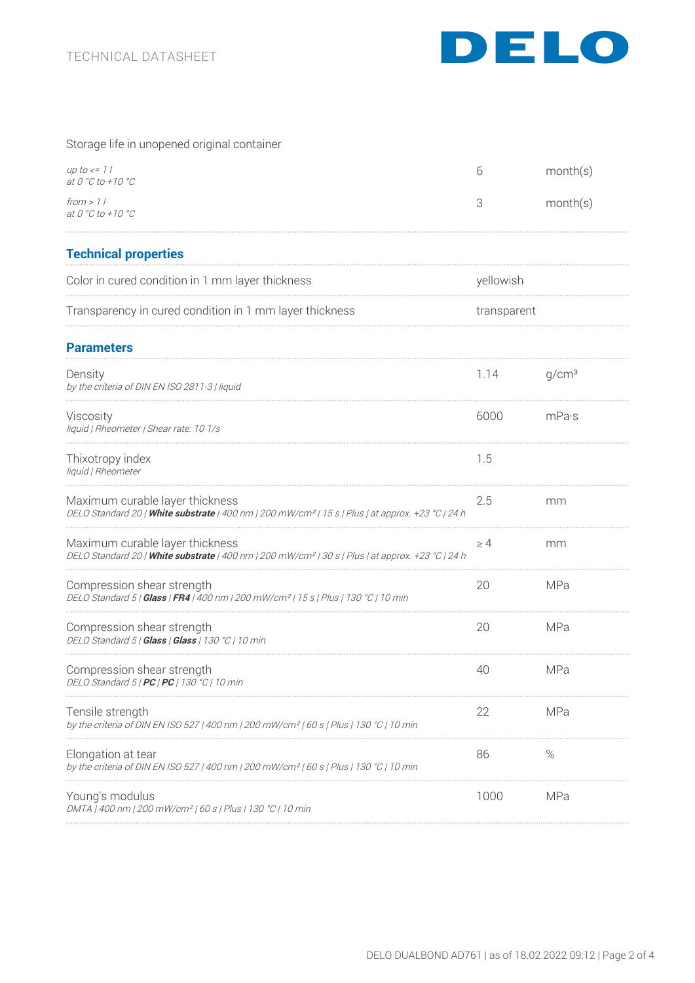

# Storage life in unopened original container

| up to $\lt$ = 1  <br>at 0 °C to +10 °C                                                                                                           | 6           | month(s)          |
|--------------------------------------------------------------------------------------------------------------------------------------------------|-------------|-------------------|
| from > 11<br>at 0 $^{\circ}$ C to +10 $^{\circ}$ C                                                                                               | 3           | month(s)          |
| <b>Technical properties</b>                                                                                                                      |             |                   |
| Color in cured condition in 1 mm layer thickness                                                                                                 | yellowish   |                   |
| Transparency in cured condition in 1 mm layer thickness                                                                                          | transparent |                   |
| <b>Parameters</b>                                                                                                                                |             |                   |
| Density<br>by the criteria of DIN EN ISO 2811-3   liquid                                                                                         | 1.14        | q/cm <sup>3</sup> |
| Viscosity<br>liquid   Rheometer   Shear rate: 10 1/s                                                                                             | 6000        | mPa·s             |
| Thixotropy index<br>liquid   Rheometer                                                                                                           | 1.5         |                   |
| Maximum curable layer thickness<br>DELO Standard 20   White substrate   400 nm   200 mW/cm <sup>2</sup>   15 s   Plus   at approx. +23 °C   24 h | 2.5         | mm                |
| Maximum curable layer thickness<br>DELO Standard 20   White substrate   400 nm   200 mW/cm <sup>2</sup>   30 s   Plus   at approx. +23 °C   24 h | $\geq 4$    | mm                |
| Compression shear strength<br>DELO Standard 5   <b>Glass   FR4</b>   400 nm   200 mW/cm <sup>2</sup>   15 s   Plus   130 °C   10 min             | 20          | MPa               |
| Compression shear strength<br>DELO Standard 5   Glass   Glass   130 °C   10 min                                                                  | 20          | MPa               |
| Compression shear strength<br>DELO Standard 5   <b>PC   PC  </b> 130 °C   10 min                                                                 | 40          | MPa               |
| Tensile strength<br>by the criteria of DIN EN ISO 527   400 nm   200 mW/cm <sup>2</sup>   60 s   Plus   130 °C   10 min                          | 22          | <b>MPa</b>        |
| Elongation at tear<br>by the criteria of DIN EN ISO 527   400 nm   200 mW/cm <sup>2</sup>   60 s   Plus   130 °C   10 min                        | 86          | ℅                 |
| Young's modulus<br>DMTA   400 nm   200 mW/cm <sup>2</sup>   60 s   Plus   130 °C   10 min                                                        | 1000        | MPa               |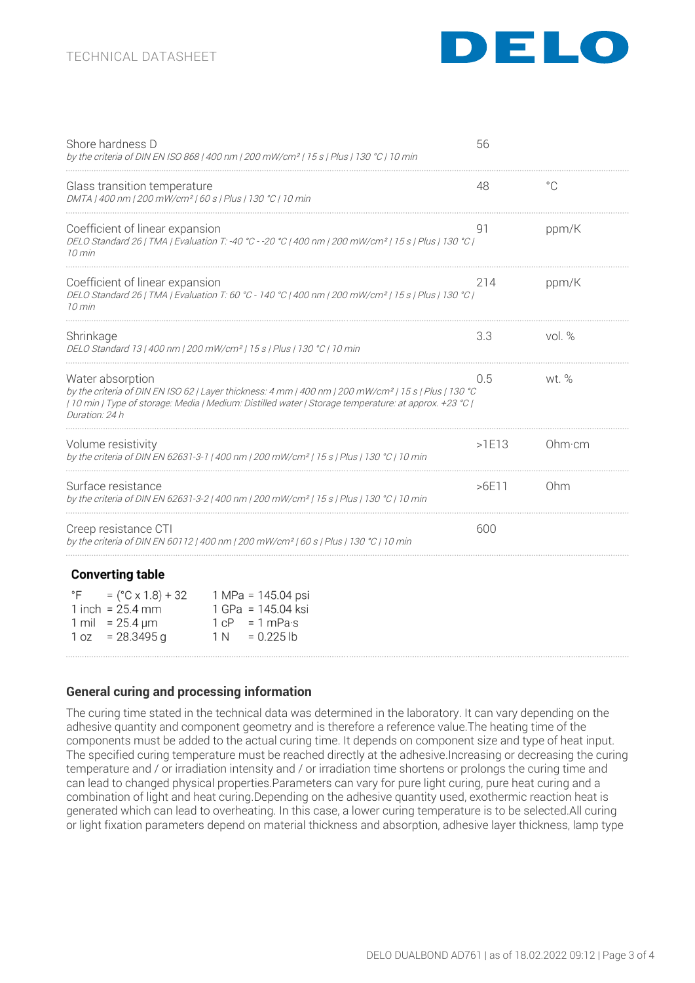# TECHNICAL DATASHEET



| Shore hardness D<br>by the criteria of DIN EN ISO 868   400 nm   200 mW/cm <sup>2</sup>   15 s   Plus   130 °C   10 min                                                                                                                                           | 56    |          |
|-------------------------------------------------------------------------------------------------------------------------------------------------------------------------------------------------------------------------------------------------------------------|-------|----------|
| Glass transition temperature<br>DMTA   400 nm   200 mW/cm <sup>2</sup>   60 s   Plus   130 °C   10 min                                                                                                                                                            | 48    | °C       |
| Coefficient of linear expansion<br>DELO Standard 26   TMA   Evaluation T: -40 °C - -20 °C   400 nm   200 mW/cm <sup>2</sup>   15 s   Plus   130 °C  <br>$10 \text{ min}$                                                                                          | 91    | ppm/K    |
| Coefficient of linear expansion<br>DELO Standard 26   TMA   Evaluation T: 60 °C - 140 °C   400 nm   200 mW/cm <sup>2</sup>   15 s   Plus   130 °C  <br>10 min                                                                                                     | 214   | ppm/K    |
| Shrinkage<br>DELO Standard 13   400 nm   200 mW/cm <sup>2</sup>   15 s   Plus   130 °C   10 min                                                                                                                                                                   | 3.3   | vol. $%$ |
| Water absorption<br>by the criteria of DIN EN ISO 62   Layer thickness: 4 mm   400 nm   200 mW/cm <sup>2</sup>   15 s   Plus   130 °C<br>  10 min   Type of storage: Media   Medium: Distilled water   Storage temperature: at approx. +23 °C  <br>Duration: 24 h | 0.5   | wt. $%$  |
| Volume resistivity<br>by the criteria of DIN EN 62631-3-1   400 nm   200 mW/cm <sup>2</sup>   15 s   Plus   130 °C   10 min                                                                                                                                       | >1E13 | Ohm·cm   |
| Surface resistance<br>by the criteria of DIN EN 62631-3-2   400 nm   200 mW/cm <sup>2</sup>   15 s   Plus   130 °C   10 min                                                                                                                                       | >6E11 | Ohm      |
| Creep resistance CTI<br>by the criteria of DIN EN 60112   400 nm   200 mW/cm²   60 s   Plus   130 °C   10 min                                                                                                                                                     | 600   |          |
| <b>Converting table</b>                                                                                                                                                                                                                                           |       |          |
| °F<br>$=$ (°C x 1.8) + 32<br>1 MPa = 145.04 psi<br>1 inch = $25.4$ mm<br>1 GPa = 145.04 ksi<br>1 mil = $25.4 \,\text{\textmu m}$<br>$1 \text{ cP} = 1 \text{ mPa·s}$<br>$= 28.3495$ g<br>$= 0.225$ lb<br>1 oz<br>1 N                                              |       |          |
|                                                                                                                                                                                                                                                                   |       |          |

## **General curing and processing information**

The curing time stated in the technical data was determined in the laboratory. It can vary depending on the adhesive quantity and component geometry and is therefore a reference value.The heating time of the components must be added to the actual curing time. It depends on component size and type of heat input. The specified curing temperature must be reached directly at the adhesive.Increasing or decreasing the curing temperature and / or irradiation intensity and / or irradiation time shortens or prolongs the curing time and can lead to changed physical properties.Parameters can vary for pure light curing, pure heat curing and a combination of light and heat curing.Depending on the adhesive quantity used, exothermic reaction heat is generated which can lead to overheating. In this case, a lower curing temperature is to be selected.All curing or light fixation parameters depend on material thickness and absorption, adhesive layer thickness, lamp type